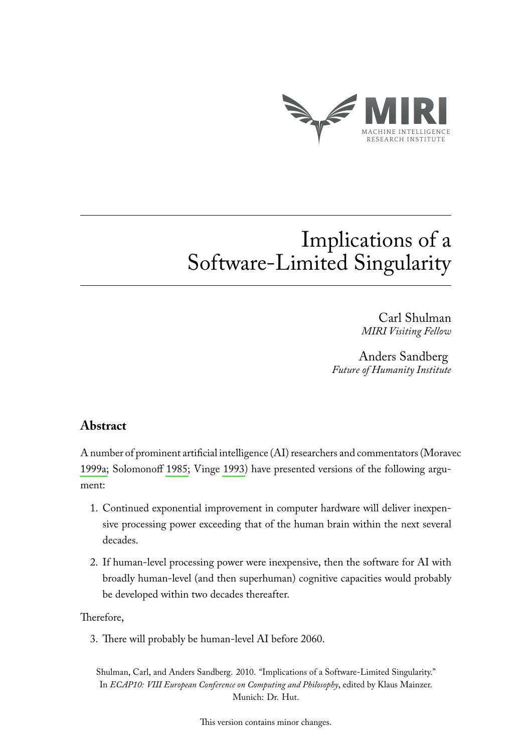

# Implications of a Software-Limited Singularity

Carl Shulman *MIRI Visiting Fellow*

Anders Sandberg *Future of Humanity Institute*

# **Abstract**

A number of prominent artificial intelligence (AI) researchers and commentators (Moravec [1999a;](#page-6-0) Solomonoff [1985;](#page-6-1) Vinge [1993\)](#page-6-2) have presented versions of the following argument:

- 1. Continued exponential improvement in computer hardware will deliver inexpensive processing power exceeding that of the human brain within the next several decades.
- 2. If human-level processing power were inexpensive, then the software for AI with broadly human-level (and then superhuman) cognitive capacities would probably be developed within two decades thereafter.

Therefore,

3. There will probably be human-level AI before 2060.

Shulman, Carl, and Anders Sandberg. 2010. "Implications of a Software-Limited Singularity." In *ECAP10: VIII European Conference on Computing and Philosophy*, edited by Klaus Mainzer. Munich: Dr. Hut.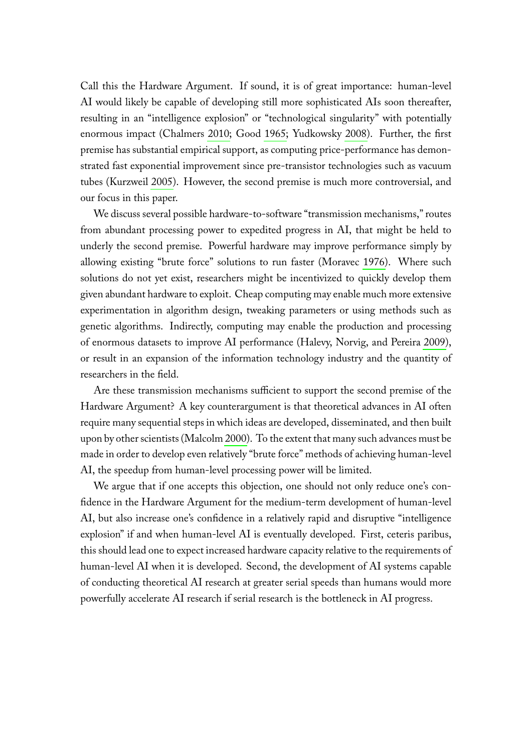Call this the Hardware Argument. If sound, it is of great importance: human-level AI would likely be capable of developing still more sophisticated AIs soon thereafter, resulting in an "intelligence explosion" or "technological singularity" with potentially enormous impact (Chalmers [2010;](#page-6-3) Good [1965;](#page-6-4) Yudkowsky [2008\)](#page-6-5). Further, the first premise has substantial empirical support, as computing price-performance has demonstrated fast exponential improvement since pre-transistor technologies such as vacuum tubes (Kurzweil [2005\)](#page-6-6). However, the second premise is much more controversial, and our focus in this paper.

We discuss several possible hardware-to-software "transmission mechanisms," routes from abundant processing power to expedited progress in AI, that might be held to underly the second premise. Powerful hardware may improve performance simply by allowing existing "brute force" solutions to run faster (Moravec [1976\)](#page-6-7). Where such solutions do not yet exist, researchers might be incentivized to quickly develop them given abundant hardware to exploit. Cheap computing may enable much more extensive experimentation in algorithm design, tweaking parameters or using methods such as genetic algorithms. Indirectly, computing may enable the production and processing of enormous datasets to improve AI performance (Halevy, Norvig, and Pereira [2009\)](#page-6-8), or result in an expansion of the information technology industry and the quantity of researchers in the field.

Are these transmission mechanisms sufficient to support the second premise of the Hardware Argument? A key counterargument is that theoretical advances in AI often require many sequential steps in which ideas are developed, disseminated, and then built upon by other scientists (Malcolm [2000\)](#page-6-9). To the extent that many such advances must be made in order to develop even relatively "brute force" methods of achieving human-level AI, the speedup from human-level processing power will be limited.

We argue that if one accepts this objection, one should not only reduce one's confidence in the Hardware Argument for the medium-term development of human-level AI, but also increase one's confidence in a relatively rapid and disruptive "intelligence explosion" if and when human-level AI is eventually developed. First, ceteris paribus, this should lead one to expect increased hardware capacity relative to the requirements of human-level AI when it is developed. Second, the development of AI systems capable of conducting theoretical AI research at greater serial speeds than humans would more powerfully accelerate AI research if serial research is the bottleneck in AI progress.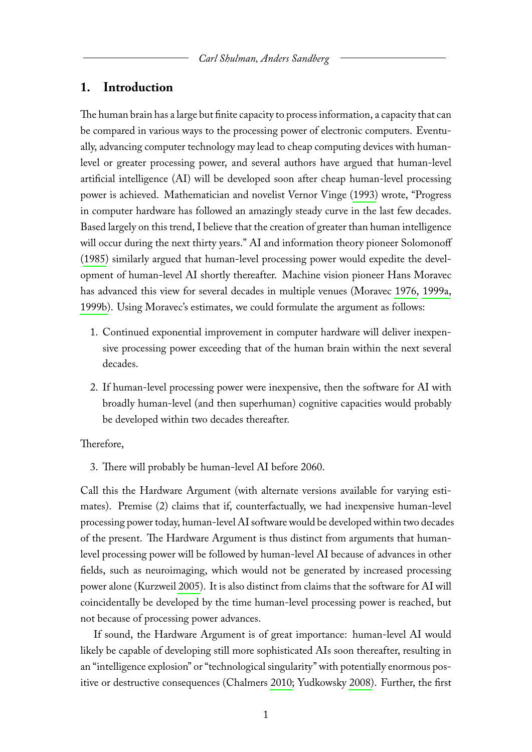## **1. Introduction**

The human brain has a large but finite capacity to process information, a capacity that can be compared in various ways to the processing power of electronic computers. Eventually, advancing computer technology may lead to cheap computing devices with humanlevel or greater processing power, and several authors have argued that human-level artificial intelligence (AI) will be developed soon after cheap human-level processing power is achieved. Mathematician and novelist Vernor Vinge [\(1993\)](#page-6-2) wrote, "Progress in computer hardware has followed an amazingly steady curve in the last few decades. Based largely on this trend, I believe that the creation of greater than human intelligence will occur during the next thirty years." AI and information theory pioneer Solomonoff [\(1985\)](#page-6-1) similarly argued that human-level processing power would expedite the development of human-level AI shortly thereafter. Machine vision pioneer Hans Moravec has advanced this view for several decades in multiple venues (Moravec [1976,](#page-6-7) [1999a,](#page-6-0) [1999b\)](#page-6-10). Using Moravec's estimates, we could formulate the argument as follows:

- 1. Continued exponential improvement in computer hardware will deliver inexpensive processing power exceeding that of the human brain within the next several decades.
- 2. If human-level processing power were inexpensive, then the software for AI with broadly human-level (and then superhuman) cognitive capacities would probably be developed within two decades thereafter.

#### Therefore,

3. There will probably be human-level AI before 2060.

Call this the Hardware Argument (with alternate versions available for varying estimates). Premise (2) claims that if, counterfactually, we had inexpensive human-level processing power today, human-level AI software would be developed within two decades of the present. The Hardware Argument is thus distinct from arguments that humanlevel processing power will be followed by human-level AI because of advances in other fields, such as neuroimaging, which would not be generated by increased processing power alone (Kurzweil [2005\)](#page-6-6). It is also distinct from claims that the software for AI will coincidentally be developed by the time human-level processing power is reached, but not because of processing power advances.

If sound, the Hardware Argument is of great importance: human-level AI would likely be capable of developing still more sophisticated AIs soon thereafter, resulting in an "intelligence explosion" or "technological singularity" with potentially enormous positive or destructive consequences (Chalmers [2010;](#page-6-3) Yudkowsky [2008\)](#page-6-5). Further, the first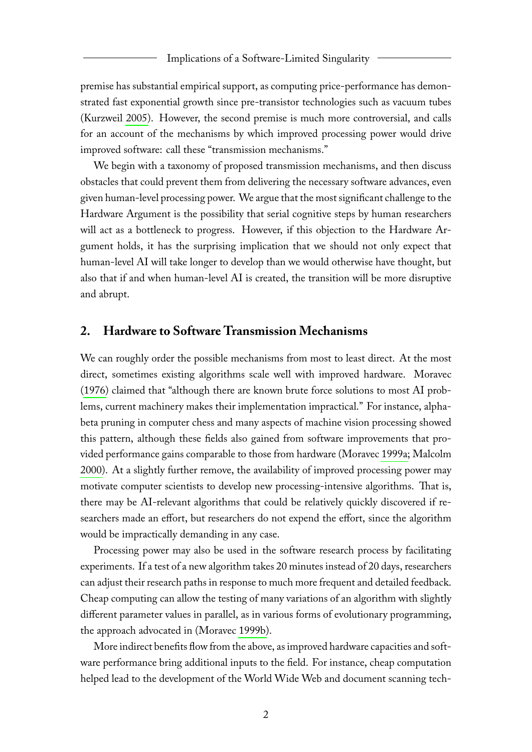premise has substantial empirical support, as computing price-performance has demonstrated fast exponential growth since pre-transistor technologies such as vacuum tubes (Kurzweil [2005\)](#page-6-6). However, the second premise is much more controversial, and calls for an account of the mechanisms by which improved processing power would drive improved software: call these "transmission mechanisms."

We begin with a taxonomy of proposed transmission mechanisms, and then discuss obstacles that could prevent them from delivering the necessary software advances, even given human-level processing power. We argue that the most significant challenge to the Hardware Argument is the possibility that serial cognitive steps by human researchers will act as a bottleneck to progress. However, if this objection to the Hardware Argument holds, it has the surprising implication that we should not only expect that human-level AI will take longer to develop than we would otherwise have thought, but also that if and when human-level AI is created, the transition will be more disruptive and abrupt.

### **2. Hardware to Software Transmission Mechanisms**

We can roughly order the possible mechanisms from most to least direct. At the most direct, sometimes existing algorithms scale well with improved hardware. Moravec [\(1976\)](#page-6-7) claimed that "although there are known brute force solutions to most AI problems, current machinery makes their implementation impractical." For instance, alphabeta pruning in computer chess and many aspects of machine vision processing showed this pattern, although these fields also gained from software improvements that provided performance gains comparable to those from hardware (Moravec [1999a;](#page-6-0) Malcolm [2000\)](#page-6-9). At a slightly further remove, the availability of improved processing power may motivate computer scientists to develop new processing-intensive algorithms. That is, there may be AI-relevant algorithms that could be relatively quickly discovered if researchers made an effort, but researchers do not expend the effort, since the algorithm would be impractically demanding in any case.

Processing power may also be used in the software research process by facilitating experiments. If a test of a new algorithm takes 20 minutes instead of 20 days, researchers can adjust their research paths in response to much more frequent and detailed feedback. Cheap computing can allow the testing of many variations of an algorithm with slightly different parameter values in parallel, as in various forms of evolutionary programming, the approach advocated in (Moravec [1999b\)](#page-6-10).

More indirect benefits flow from the above, as improved hardware capacities and software performance bring additional inputs to the field. For instance, cheap computation helped lead to the development of the World Wide Web and document scanning tech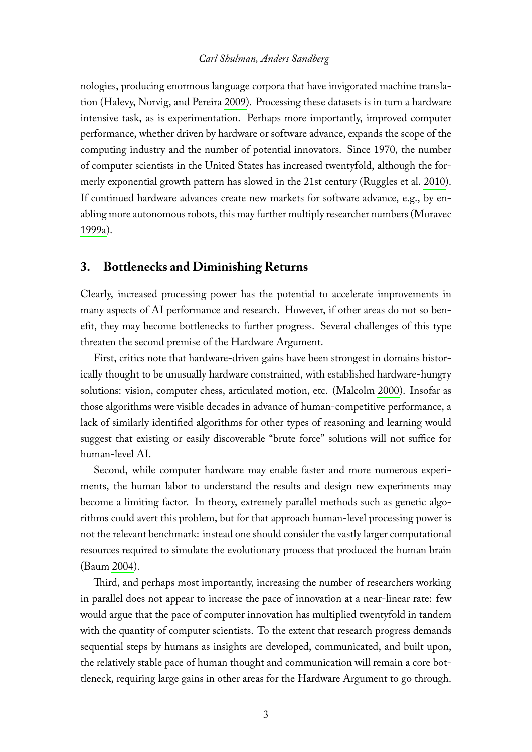nologies, producing enormous language corpora that have invigorated machine translation (Halevy, Norvig, and Pereira [2009\)](#page-6-8). Processing these datasets is in turn a hardware intensive task, as is experimentation. Perhaps more importantly, improved computer performance, whether driven by hardware or software advance, expands the scope of the computing industry and the number of potential innovators. Since 1970, the number of computer scientists in the United States has increased twentyfold, although the formerly exponential growth pattern has slowed in the 21st century (Ruggles et al. [2010\)](#page-6-11). If continued hardware advances create new markets for software advance, e.g., by enabling more autonomous robots, this may further multiply researcher numbers (Moravec [1999a\)](#page-6-0).

#### **3. Bottlenecks and Diminishing Returns**

Clearly, increased processing power has the potential to accelerate improvements in many aspects of AI performance and research. However, if other areas do not so benefit, they may become bottlenecks to further progress. Several challenges of this type threaten the second premise of the Hardware Argument.

First, critics note that hardware-driven gains have been strongest in domains historically thought to be unusually hardware constrained, with established hardware-hungry solutions: vision, computer chess, articulated motion, etc. (Malcolm [2000\)](#page-6-9). Insofar as those algorithms were visible decades in advance of human-competitive performance, a lack of similarly identified algorithms for other types of reasoning and learning would suggest that existing or easily discoverable "brute force" solutions will not suffice for human-level AI.

Second, while computer hardware may enable faster and more numerous experiments, the human labor to understand the results and design new experiments may become a limiting factor. In theory, extremely parallel methods such as genetic algorithms could avert this problem, but for that approach human-level processing power is not the relevant benchmark: instead one should consider the vastly larger computational resources required to simulate the evolutionary process that produced the human brain (Baum [2004\)](#page-6-12).

Third, and perhaps most importantly, increasing the number of researchers working in parallel does not appear to increase the pace of innovation at a near-linear rate: few would argue that the pace of computer innovation has multiplied twentyfold in tandem with the quantity of computer scientists. To the extent that research progress demands sequential steps by humans as insights are developed, communicated, and built upon, the relatively stable pace of human thought and communication will remain a core bottleneck, requiring large gains in other areas for the Hardware Argument to go through.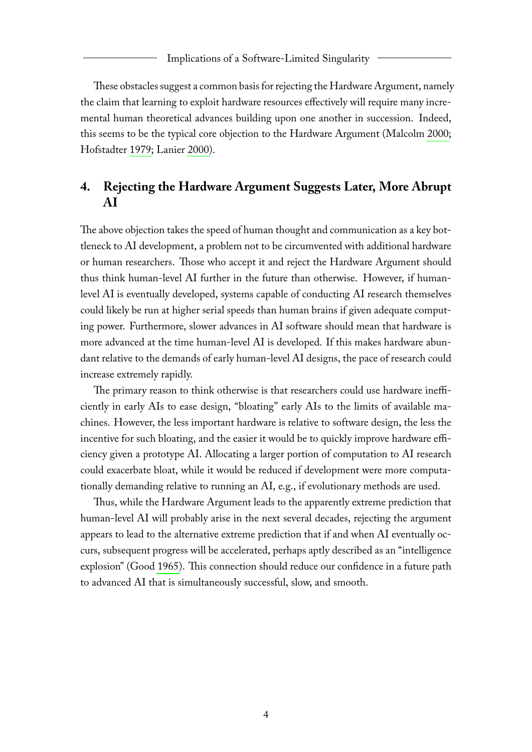#### Implications of a Software-Limited Singularity

These obstacles suggest a common basis for rejecting the Hardware Argument, namely the claim that learning to exploit hardware resources effectively will require many incremental human theoretical advances building upon one another in succession. Indeed, this seems to be the typical core objection to the Hardware Argument (Malcolm [2000;](#page-6-9) Hofstadter [1979;](#page-6-13) Lanier [2000\)](#page-6-14).

# **4. Rejecting the Hardware Argument Suggests Later, More Abrupt AI**

The above objection takes the speed of human thought and communication as a key bottleneck to AI development, a problem not to be circumvented with additional hardware or human researchers. Those who accept it and reject the Hardware Argument should thus think human-level AI further in the future than otherwise. However, if humanlevel AI is eventually developed, systems capable of conducting AI research themselves could likely be run at higher serial speeds than human brains if given adequate computing power. Furthermore, slower advances in AI software should mean that hardware is more advanced at the time human-level AI is developed. If this makes hardware abundant relative to the demands of early human-level AI designs, the pace of research could increase extremely rapidly.

The primary reason to think otherwise is that researchers could use hardware inefficiently in early AIs to ease design, "bloating" early AIs to the limits of available machines. However, the less important hardware is relative to software design, the less the incentive for such bloating, and the easier it would be to quickly improve hardware efficiency given a prototype AI. Allocating a larger portion of computation to AI research could exacerbate bloat, while it would be reduced if development were more computationally demanding relative to running an AI, e.g., if evolutionary methods are used.

Thus, while the Hardware Argument leads to the apparently extreme prediction that human-level AI will probably arise in the next several decades, rejecting the argument appears to lead to the alternative extreme prediction that if and when AI eventually occurs, subsequent progress will be accelerated, perhaps aptly described as an "intelligence explosion" (Good [1965\)](#page-6-4). This connection should reduce our confidence in a future path to advanced AI that is simultaneously successful, slow, and smooth.